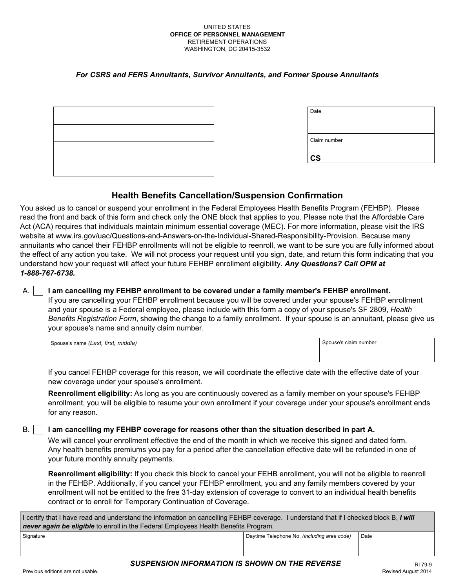#### UNITED STATES **OFFICE OF PERSONNEL MANAGEMENT**  RETIREMENT OPERATIONS WASHINGTON, DC 20415-3532

#### *For CSRS and FERS Annuitants, Survivor Annuitants, and Former Spouse Annuitants*

| the contract of the contract of the contract of the contract of the contract of the contract of |  |  |
|-------------------------------------------------------------------------------------------------|--|--|
|                                                                                                 |  |  |
|                                                                                                 |  |  |
|                                                                                                 |  |  |
|                                                                                                 |  |  |
|                                                                                                 |  |  |
|                                                                                                 |  |  |
|                                                                                                 |  |  |
|                                                                                                 |  |  |
|                                                                                                 |  |  |
|                                                                                                 |  |  |

| Date          |  |  |
|---------------|--|--|
|               |  |  |
| Claim number  |  |  |
|               |  |  |
| $\mathsf{cs}$ |  |  |

# **Health Benefits Cancellation/Suspension Confirmation**

You asked us to cancel or suspend your enrollment in the Federal Employees Health Benefits Program (FEHBP). Please read the front and back of this form and check only the ONE block that applies to you. Please note that the Affordable Care Act (ACA) requires that individuals maintain minimum essential coverage (MEC). For more information, please visit the IRS website at [www.irs.gov/uac/Questions-and-Answers-on-the-Individual-Shared-Responsibility-Provision.](http://www.irs.gov/uac/Questions-and-Answers-on-the-Individual-Shared-Responsibility-Provision) Because many annuitants who cancel their FEHBP enrollments will not be eligible to reenroll, we want to be sure you are fully informed about the effect of any action you take. We will not process your request until you sign, date, and return this form indicating that you understand how your request will affect your future FEHBP enrollment eligibility. *Any Questions? Call OPM at 1-888-767-6738.* 

### A. **I I am cancelling my FEHBP enrollment to be covered under a family member's FEHBP enrollment.**

If you are cancelling your FEHBP enrollment because you will be covered under your spouse's FEHBP enrollment and your spouse is a Federal employee, please include with this form a copy of your spouse's SF 2809, *Health Benefits Registration Form*, showing the change to a family enrollment. If your spouse is an annuitant, please give us your spouse's name and annuity claim number.

| Spouse's name (Last, first, middle) | Spouse's claim number |
|-------------------------------------|-----------------------|
|                                     |                       |

If you cancel FEHBP coverage for this reason, we will coordinate the effective date with the effective date of your new coverage under your spouse's enrollment.

**Reenrollment eligibility:** As long as you are continuously covered as a family member on your spouse's FEHBP enrollment, you will be eligible to resume your own enrollment if your coverage under your spouse's enrollment ends for any reason.

### B. **I lam cancelling my FEHBP coverage for reasons other than the situation described in part A.**

We will cancel your enrollment effective the end of the month in which we receive this signed and dated form. Any health benefits premiums you pay for a period after the cancellation effective date will be refunded in one of your future monthly annuity payments.

**Reenrollment eligibility:** If you check this block to cancel your FEHB enrollment, you will not be eligible to reenroll in the FEHBP. Additionally, if you cancel your FEHBP enrollment, you and any family members covered by your enrollment will not be entitled to the free 31-day extension of coverage to convert to an individual health benefits contract or to enroll for Temporary Continuation of Coverage.

| I certify that I have read and understand the information on cancelling FEHBP coverage. I understand that if I checked block B, I will<br>never again be eligible to enroll in the Federal Employees Health Benefits Program. |                                             |      |  |
|-------------------------------------------------------------------------------------------------------------------------------------------------------------------------------------------------------------------------------|---------------------------------------------|------|--|
| Signature                                                                                                                                                                                                                     | Daytime Telephone No. (including area code) | Date |  |